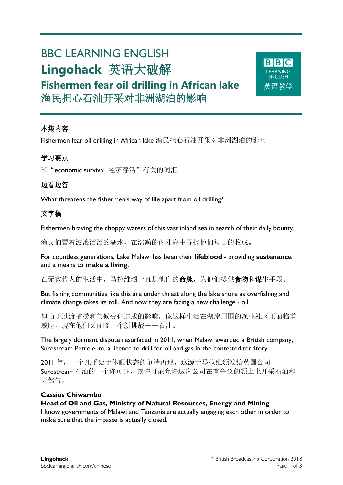# BBC LEARNING ENGLISH **Lingohack** 英语大破解

# **Fishermen fear oil drilling in African lake** 渔民担心石油开采对非洲湖泊的影响



## 本集内容

Fishermen fear oil drilling in African lake 渔民担心石油开采对非洲湖泊的影响

# 学习要点

和"economic survival 经济存活"有关的词汇

# 边看边答

What threatens the fishermen's way of life apart from oil drilling?

# 文字稿

Fishermen braving the choppy waters of this vast inland sea in search of their daily bounty.

渔民们冒着波浪滔滔的湖水,在浩瀚的内陆海中寻找他们每日的收成。

For countless generations, Lake Malawi has been their **lifeblood** - providing **sustenance** and a means to **make a living**.

在无数代人的生活中,马拉维湖一直是他们的命脉,为他们提供食物和谋生手段。

But fishing communities like this are under threat along the lake shore as overfishing and climate change takes its toll. And now they are facing a new challenge - oil.

但由于过渡捕捞和气候变化造成的影响,像这样生活在湖岸周围的渔业社区正面临着 威胁。现在他们又面临一个新挑战——石油。

The largely dormant dispute resurfaced in 2011, when Malawi awarded a British company, Surestream Petroleum, a licence to drill for oil and gas in the contested territory.

2011 年,一个几乎处于休眠状态的争端再现,这源于马拉维颁发给英国公司 Surestream 石油的一个许可证,该许可证允许这家公司在有争议的领土上开采石油和 天然气。

#### **Cassius Chiwambo**

**Head of Oil and Gas, Ministry of Natural Resources, Energy and Mining**

I know governments of Malawi and Tanzania are actually engaging each other in order to make sure that the impasse is actually closed.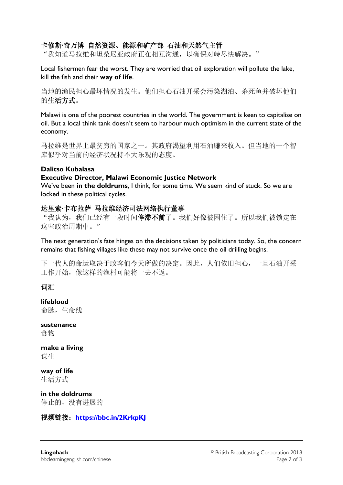## 卡修斯**·**奇万博 自然资源、能源和矿产部 石油和天然气主管

"我知道马拉维和坦桑尼亚政府正在相互沟通,以确保对峙尽快解决。"

Local fishermen fear the worst. They are worried that oil exploration will pollute the lake, kill the fish and their **way of life**.

当地的渔民担心最坏情况的发生。他们担心石油开采会污染湖泊、杀死鱼并破坏他们 的生活方式。

Malawi is one of the poorest countries in the world. The government is keen to capitalise on oil. But a local think tank doesn't seem to harbour much optimism in the current state of the economy.

马拉维是世界上最贫穷的国家之一。其政府渴望利用石油赚来收入。但当地的一个智 库似乎对当前的经济状况持不大乐观的态度。

#### **Dalitso Kubalasa**

#### **Executive Director, Malawi Economic Justice Network**

We've been **in the doldrums**, I think, for some time. We seem kind of stuck. So we are locked in these political cycles.

#### 达里索**·**卡布拉萨 马拉维经济司法网络执行董事

"我认为,我们已经有一段时间停滞不前了。我们好像被困住了。所以我们被锁定在 这些政治周期中。"

The next generation's fate hinges on the decisions taken by politicians today. So, the concern remains that fishing villages like these may not survive once the oil drilling begins.

下一代人的命运取决于政客们今天所做的决定。因此,人们依旧担心,一旦石油开采 工作开始,像这样的渔村可能将一去不返。

#### 词汇

**lifeblood** 命脉,生命线

**sustenance** 食物

**make a living** 谋生

**way of life** 生活方式

**in the doldrums** 停止的,没有进展的

#### 视频链接:**<https://bbc.in/2KrkpKJ>**